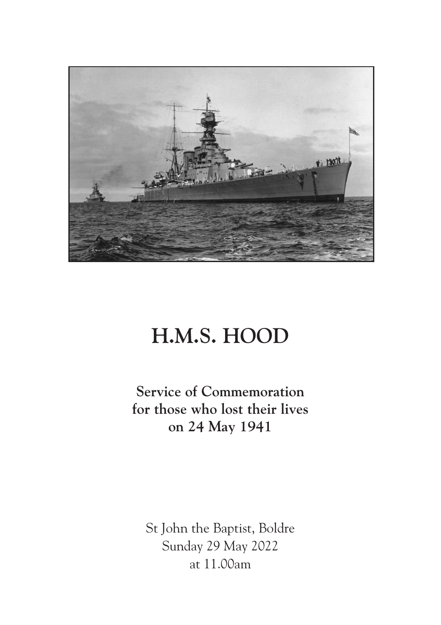

# **H.M.S. HOOD**

**Service of Commemoration for those who lost their lives on 24 May 1941**

St John the Baptist, Boldre Sunday 29 May 2022 at 11.00am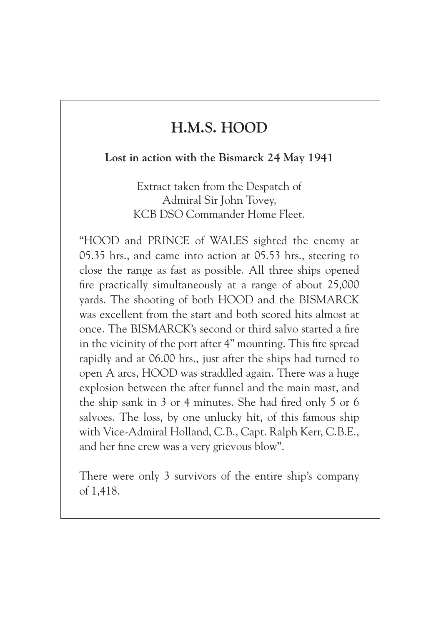# **H.M.S. HOOD**

#### **Lost in action with the Bismarck 24 May 1941**

Extract taken from the Despatch of Admiral Sir John Tovey, KCB DSO Commander Home Fleet.

"HOOD and PRINCE of WALES sighted the enemy at 05.35 hrs., and came into action at 05.53 hrs., steering to close the range as fast as possible. All three ships opened fire practically simultaneously at a range of about 25,000 yards. The shooting of both HOOD and the BISMARCK was excellent from the start and both scored hits almost at once. The BISMARCK's second or third salvo started a fire in the vicinity of the port after 4" mounting. This fire spread rapidly and at 06.00 hrs., just after the ships had turned to open A arcs, HOOD was straddled again. There was a huge explosion between the after funnel and the main mast, and the ship sank in 3 or 4 minutes. She had fired only 5 or 6 salvoes. The loss, by one unlucky hit, of this famous ship with Vice-Admiral Holland, C.B., Capt. Ralph Kerr, C.B.E., and her fine crew was a very grievous blow".

There were only 3 survivors of the entire ship's company of 1,418.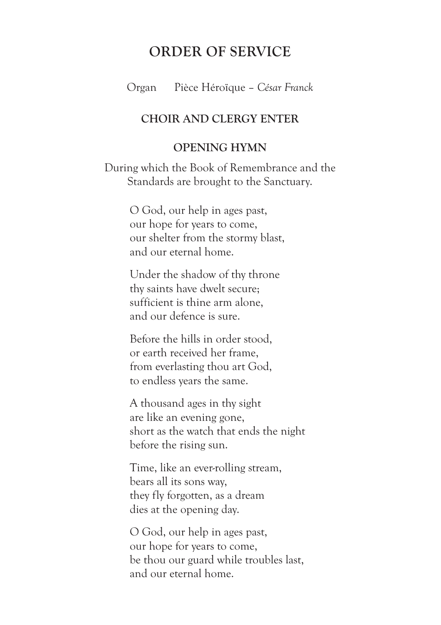# **ORDER OF SERVICE**

Organ Pièce Héroïque – *César Franck*

#### **CHOIR AND CLERGY ENTER**

#### **OPENING HYMN**

During which the Book of Remembrance and the Standards are brought to the Sanctuary.

> O God, our help in ages past, our hope for years to come, our shelter from the stormy blast, and our eternal home.

Under the shadow of thy throne thy saints have dwelt secure; sufficient is thine arm alone, and our defence is sure.

Before the hills in order stood, or earth received her frame, from everlasting thou art God, to endless years the same.

A thousand ages in thy sight are like an evening gone, short as the watch that ends the night before the rising sun.

Time, like an ever-rolling stream, bears all its sons way, they fly forgotten, as a dream dies at the opening day.

O God, our help in ages past, our hope for years to come, be thou our guard while troubles last, and our eternal home.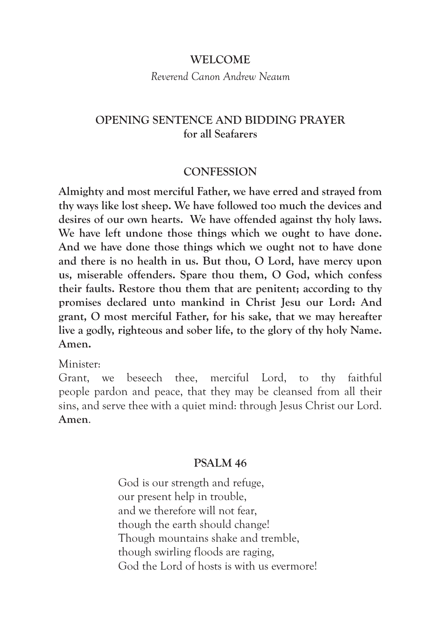#### **WELCOME**

*Reverend Canon Andrew Neaum*

## **OPENING SENTENCE AND BIDDING PRAYER for all Seafarers**

#### **CONFESSION**

**Almighty and most merciful Father, we have erred and strayed from thy ways like lost sheep. We have followed too much the devices and desires of our own hearts. We have offended against thy holy laws. We have left undone those things which we ought to have done. And we have done those things which we ought not to have done and there is no health in us. But thou, O Lord, have mercy upon us, miserable offenders. Spare thou them, O God, which confess their faults. Restore thou them that are penitent; according to thy promises declared unto mankind in Christ Jesu our Lord: And grant, O most merciful Father, for his sake, that we may hereafter live a godly, righteous and sober life, to the glory of thy holy Name. Amen.** 

Minister:

Grant, we beseech thee, merciful Lord, to thy faithful people pardon and peace, that they may be cleansed from all their sins, and serve thee with a quiet mind: through Jesus Christ our Lord. **Amen**.

#### **PSALM 46**

God is our strength and refuge, our present help in trouble, and we therefore will not fear, though the earth should change! Though mountains shake and tremble, though swirling floods are raging, God the Lord of hosts is with us evermore!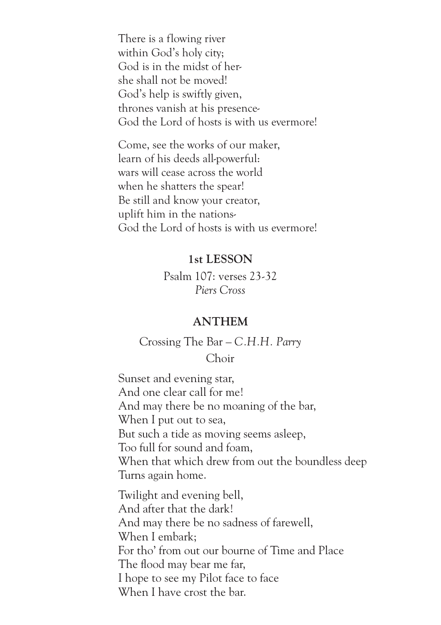There is a flowing river within God's holy city; God is in the midst of hershe shall not be moved! God's help is swiftly given, thrones vanish at his presence-God the Lord of hosts is with us evermore!

Come, see the works of our maker, learn of his deeds all-powerful: wars will cease across the world when he shatters the spear! Be still and know your creator, uplift him in the nations-God the Lord of hosts is with us evermore!

## **1st LESSON**

Psalm 107: verses 23-32 *Piers Cross*

#### **ANTHEM**

Crossing The Bar – *C.H.H. Parry*  Choir

Sunset and evening star, And one clear call for me! And may there be no moaning of the bar, When I put out to sea, But such a tide as moving seems asleep, Too full for sound and foam, When that which drew from out the boundless deep Turns again home.

Twilight and evening bell, And after that the dark! And may there be no sadness of farewell, When I embark; For tho' from out our bourne of Time and Place The flood may bear me far, I hope to see my Pilot face to face When I have crost the bar.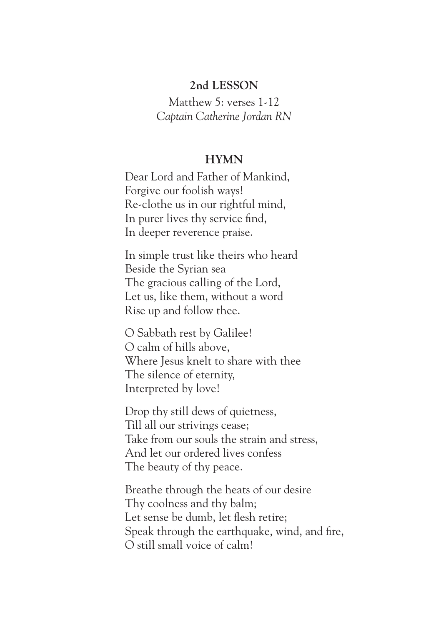#### **2nd LESSON**

Matthew 5: verses 1-12 *Captain Catherine Jordan RN*

#### **HYMN**

Dear Lord and Father of Mankind, Forgive our foolish ways! Re-clothe us in our rightful mind, In purer lives thy service find, In deeper reverence praise.

In simple trust like theirs who heard Beside the Syrian sea The gracious calling of the Lord, Let us, like them, without a word Rise up and follow thee.

O Sabbath rest by Galilee! O calm of hills above, Where Jesus knelt to share with thee The silence of eternity, Interpreted by love!

Drop thy still dews of quietness, Till all our strivings cease; Take from our souls the strain and stress, And let our ordered lives confess The beauty of thy peace.

Breathe through the heats of our desire Thy coolness and thy balm; Let sense be dumb, let flesh retire; Speak through the earthquake, wind, and fire, O still small voice of calm!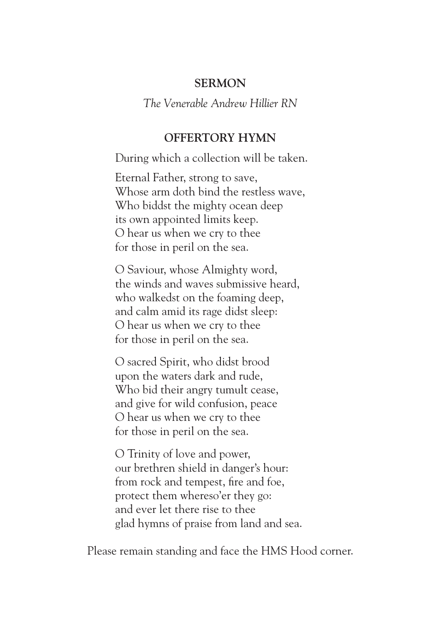#### **SERMON**

#### *The Venerable Andrew Hillier RN*

## **OFFERTORY HYMN**

During which a collection will be taken.

Eternal Father, strong to save, Whose arm doth bind the restless wave, Who biddst the mighty ocean deep its own appointed limits keep. O hear us when we cry to thee for those in peril on the sea.

O Saviour, whose Almighty word, the winds and waves submissive heard, who walkedst on the foaming deep, and calm amid its rage didst sleep: O hear us when we cry to thee for those in peril on the sea.

O sacred Spirit, who didst brood upon the waters dark and rude, Who bid their angry tumult cease, and give for wild confusion, peace O hear us when we cry to thee for those in peril on the sea.

O Trinity of love and power, our brethren shield in danger's hour: from rock and tempest, fire and foe, protect them whereso'er they go: and ever let there rise to thee glad hymns of praise from land and sea.

Please remain standing and face the HMS Hood corner.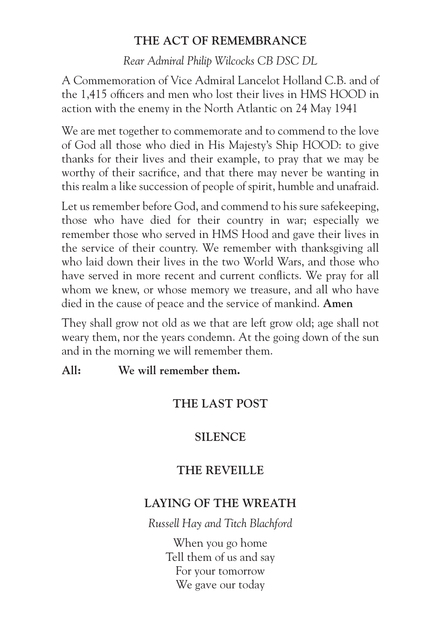# **THE ACT OF REMEMBRANCE**

*Rear Admiral Philip Wilcocks CB DSC DL*

A Commemoration of Vice Admiral Lancelot Holland C.B. and of the 1,415 officers and men who lost their lives in HMS HOOD in action with the enemy in the North Atlantic on 24 May 1941

We are met together to commemorate and to commend to the love of God all those who died in His Majesty's Ship HOOD: to give thanks for their lives and their example, to pray that we may be worthy of their sacrifice, and that there may never be wanting in this realm a like succession of people of spirit, humble and unafraid.

Let us remember before God, and commend to his sure safekeeping, those who have died for their country in war; especially we remember those who served in HMS Hood and gave their lives in the service of their country. We remember with thanksgiving all who laid down their lives in the two World Wars, and those who have served in more recent and current conflicts. We pray for all whom we knew, or whose memory we treasure, and all who have died in the cause of peace and the service of mankind. **Amen**

They shall grow not old as we that are left grow old; age shall not weary them, nor the years condemn. At the going down of the sun and in the morning we will remember them.

**All: We will remember them.**

# **THE LAST POST**

# **SILENCE**

# **THE REVEILLE**

# **LAYING OF THE WREATH**

*Russell Hay and Titch Blachford*

When you go home Tell them of us and say For your tomorrow We gave our today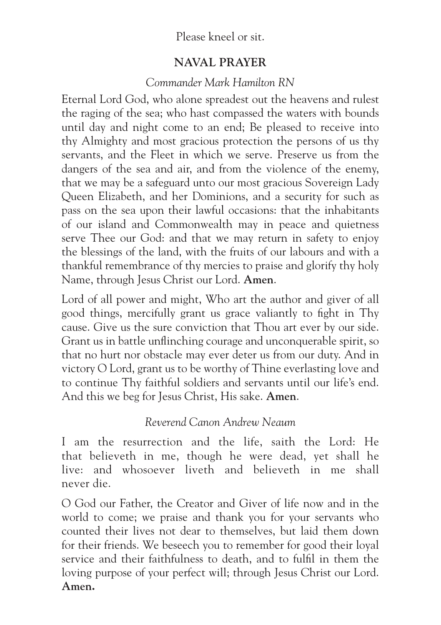# Please kneel or sit.

# **NAVAL PRAYER**

# *Commander Mark Hamilton RN*

Eternal Lord God, who alone spreadest out the heavens and rulest the raging of the sea; who hast compassed the waters with bounds until day and night come to an end; Be pleased to receive into thy Almighty and most gracious protection the persons of us thy servants, and the Fleet in which we serve. Preserve us from the dangers of the sea and air, and from the violence of the enemy, that we may be a safeguard unto our most gracious Sovereign Lady Queen Elizabeth, and her Dominions, and a security for such as pass on the sea upon their lawful occasions: that the inhabitants of our island and Commonwealth may in peace and quietness serve Thee our God: and that we may return in safety to enjoy the blessings of the land, with the fruits of our labours and with a thankful remembrance of thy mercies to praise and glorify thy holy Name, through Jesus Christ our Lord. **Amen**.

Lord of all power and might, Who art the author and giver of all good things, mercifully grant us grace valiantly to fight in Thy cause. Give us the sure conviction that Thou art ever by our side. Grant us in battle unflinching courage and unconquerable spirit, so that no hurt nor obstacle may ever deter us from our duty. And in victory O Lord, grant us to be worthy of Thine everlasting love and to continue Thy faithful soldiers and servants until our life's end. And this we beg for Jesus Christ, His sake. **Amen**.

# *Reverend Canon Andrew Neaum*

I am the resurrection and the life, saith the Lord: He that believeth in me, though he were dead, yet shall he live: and whosoever liveth and believeth in me shall never die.

O God our Father, the Creator and Giver of life now and in the world to come; we praise and thank you for your servants who counted their lives not dear to themselves, but laid them down for their friends. We beseech you to remember for good their loyal service and their faithfulness to death, and to fulfil in them the loving purpose of your perfect will; through Jesus Christ our Lord. **Amen.**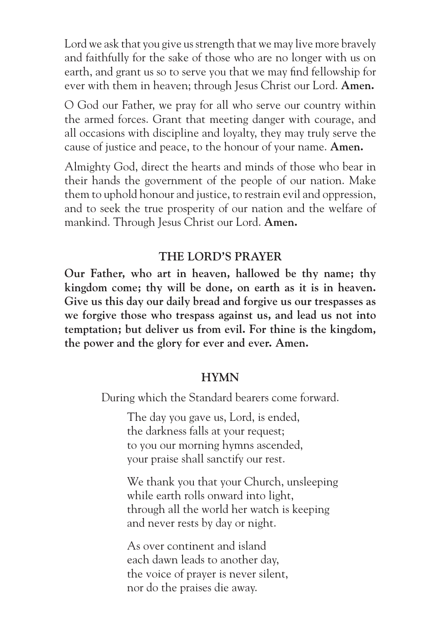Lord we ask that you give us strength that we may live more bravely and faithfully for the sake of those who are no longer with us on earth, and grant us so to serve you that we may find fellowship for ever with them in heaven; through Jesus Christ our Lord. **Amen.**

O God our Father, we pray for all who serve our country within the armed forces. Grant that meeting danger with courage, and all occasions with discipline and loyalty, they may truly serve the cause of justice and peace, to the honour of your name. **Amen.**

Almighty God, direct the hearts and minds of those who bear in their hands the government of the people of our nation. Make them to uphold honour and justice, to restrain evil and oppression, and to seek the true prosperity of our nation and the welfare of mankind. Through Jesus Christ our Lord. **Amen.**

# **THE LORD'S PRAYER**

**Our Father, who art in heaven, hallowed be thy name; thy kingdom come; thy will be done, on earth as it is in heaven. Give us this day our daily bread and forgive us our trespasses as we forgive those who trespass against us, and lead us not into temptation; but deliver us from evil. For thine is the kingdom, the power and the glory for ever and ever. Amen.**

#### **HYMN**

During which the Standard bearers come forward.

The day you gave us, Lord, is ended, the darkness falls at your request; to you our morning hymns ascended, your praise shall sanctify our rest.

We thank you that your Church, unsleeping while earth rolls onward into light, through all the world her watch is keeping and never rests by day or night.

As over continent and island each dawn leads to another day, the voice of prayer is never silent, nor do the praises die away.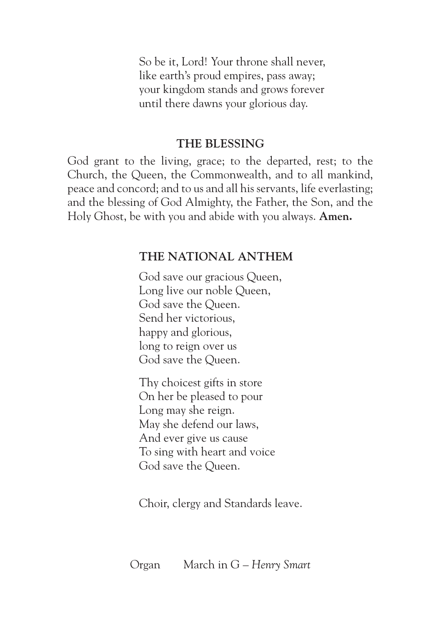So be it, Lord! Your throne shall never, like earth's proud empires, pass away; your kingdom stands and grows forever until there dawns your glorious day.

## **THE BLESSING**

God grant to the living, grace; to the departed, rest; to the Church, the Queen, the Commonwealth, and to all mankind, peace and concord; and to us and all his servants, life everlasting; and the blessing of God Almighty, the Father, the Son, and the Holy Ghost, be with you and abide with you always. **Amen.**

# **THE NATIONAL ANTHEM**

God save our gracious Queen, Long live our noble Queen, God save the Queen. Send her victorious, happy and glorious, long to reign over us God save the Queen.

Thy choicest gifts in store On her be pleased to pour Long may she reign. May she defend our laws, And ever give us cause To sing with heart and voice God save the Queen.

Choir, clergy and Standards leave.